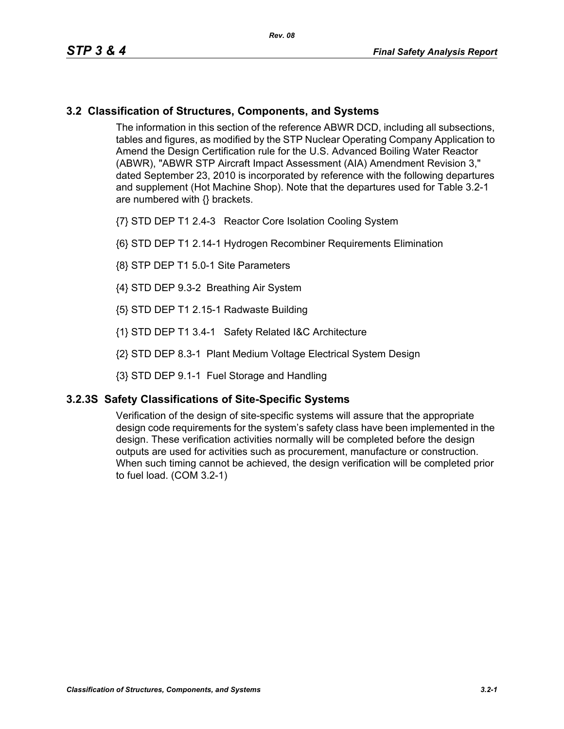## **3.2 Classification of Structures, Components, and Systems**

The information in this section of the reference ABWR DCD, including all subsections, tables and figures, as modified by the STP Nuclear Operating Company Application to Amend the Design Certification rule for the U.S. Advanced Boiling Water Reactor (ABWR), "ABWR STP Aircraft Impact Assessment (AIA) Amendment Revision 3," dated September 23, 2010 is incorporated by reference with the following departures and supplement (Hot Machine Shop). Note that the departures used for Table 3.2-1 are numbered with {} brackets.

{7} STD DEP T1 2.4-3 Reactor Core Isolation Cooling System

- {6} STD DEP T1 2.14-1 Hydrogen Recombiner Requirements Elimination
- {8} STP DEP T1 5.0-1 Site Parameters
- {4} STD DEP 9.3-2 Breathing Air System
- {5} STD DEP T1 2.15-1 Radwaste Building
- {1} STD DEP T1 3.4-1 Safety Related I&C Architecture
- {2} STD DEP 8.3-1 Plant Medium Voltage Electrical System Design
- {3} STD DEP 9.1-1 Fuel Storage and Handling

## **3.2.3S Safety Classifications of Site-Specific Systems**

Verification of the design of site-specific systems will assure that the appropriate design code requirements for the system's safety class have been implemented in the design. These verification activities normally will be completed before the design outputs are used for activities such as procurement, manufacture or construction. When such timing cannot be achieved, the design verification will be completed prior to fuel load. (COM 3.2-1)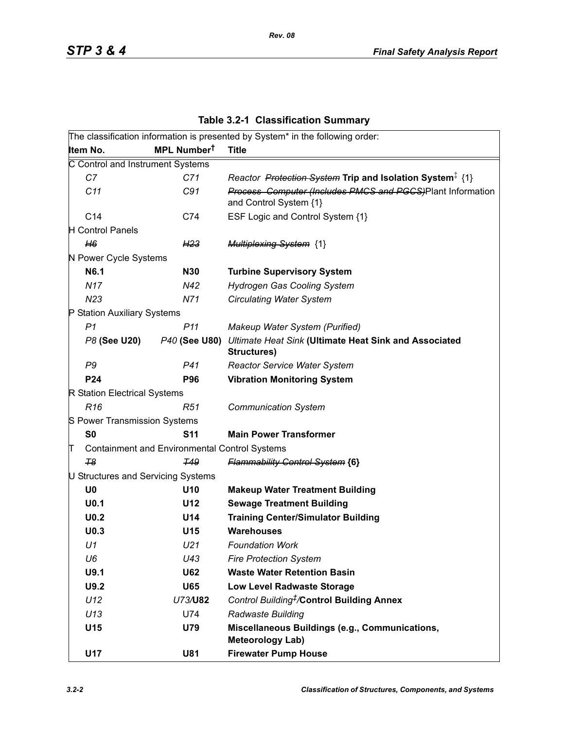| <b>Rev. 08</b> |  |
|----------------|--|
|                |  |

|                                    |                                                      | The classification information is presented by System* in the following order:       |
|------------------------------------|------------------------------------------------------|--------------------------------------------------------------------------------------|
| Item No.                           | MPL Number <sup>t</sup>                              | <b>Title</b>                                                                         |
| C Control and Instrument Systems   |                                                      |                                                                                      |
| C7                                 | C71                                                  | Reactor Protection System Trip and Isolation System <sup>‡</sup> {1}                 |
| C11                                | C91                                                  | Process Computer (Includes PMCS and PGCS)Plant Information<br>and Control System {1} |
| C14                                | C74                                                  | ESF Logic and Control System {1}                                                     |
| <b>H</b> Control Panels            |                                                      |                                                                                      |
| H6                                 | H <sub>23</sub>                                      | <b>Multiplexing System {1}</b>                                                       |
| N Power Cycle Systems              |                                                      |                                                                                      |
| N6.1                               | <b>N30</b>                                           | <b>Turbine Supervisory System</b>                                                    |
| <b>N17</b>                         | N42                                                  | Hydrogen Gas Cooling System                                                          |
| N <sub>23</sub>                    | N71                                                  | <b>Circulating Water System</b>                                                      |
| P Station Auxiliary Systems        |                                                      |                                                                                      |
| P <sub>1</sub>                     | P <sub>11</sub>                                      | Makeup Water System (Purified)                                                       |
| P8 (See U20)                       | P40 (See U80)                                        | Ultimate Heat Sink (Ultimate Heat Sink and Associated<br>Structures)                 |
| P9                                 | P41                                                  | <b>Reactor Service Water System</b>                                                  |
| P24                                | <b>P96</b>                                           | <b>Vibration Monitoring System</b>                                                   |
| R Station Electrical Systems       |                                                      |                                                                                      |
| R <sub>16</sub>                    | R51                                                  | <b>Communication System</b>                                                          |
| S Power Transmission Systems       |                                                      |                                                                                      |
| S <sub>0</sub>                     | <b>S11</b>                                           | <b>Main Power Transformer</b>                                                        |
| π                                  | <b>Containment and Environmental Control Systems</b> |                                                                                      |
| T <sub>8</sub>                     | <b>T49</b>                                           | <b>Flammability Control System {6}</b>                                               |
| U Structures and Servicing Systems |                                                      |                                                                                      |
| U <sub>0</sub>                     | U10                                                  | <b>Makeup Water Treatment Building</b>                                               |
| U <sub>0.1</sub>                   | U12                                                  | <b>Sewage Treatment Building</b>                                                     |
| U <sub>0.2</sub>                   | U14                                                  | <b>Training Center/Simulator Building</b>                                            |
| U <sub>0.3</sub>                   | U15                                                  | <b>Warehouses</b>                                                                    |
| U1                                 | U <sub>21</sub>                                      | <b>Foundation Work</b>                                                               |
| U6                                 | U43                                                  | <b>Fire Protection System</b>                                                        |
| U9.1                               | <b>U62</b>                                           | <b>Waste Water Retention Basin</b>                                                   |
| U9.2                               | <b>U65</b>                                           | <b>Low Level Radwaste Storage</b>                                                    |
| U12                                | U73/U82                                              | Control Building <sup>#</sup> /Control Building Annex                                |
| U13                                | U74                                                  | Radwaste Building                                                                    |
| U15                                | U79                                                  | Miscellaneous Buildings (e.g., Communications,<br><b>Meteorology Lab)</b>            |
| U17                                | <b>U81</b>                                           | <b>Firewater Pump House</b>                                                          |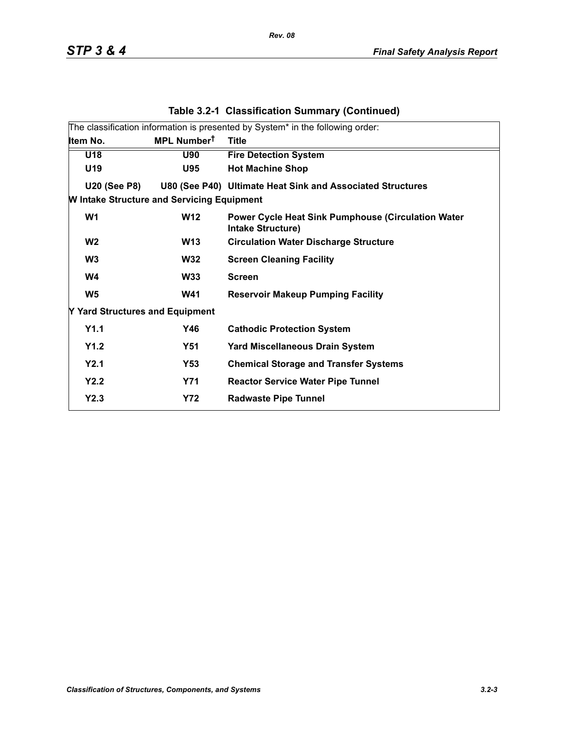|                                                   | The classification information is presented by System* in the following order: |                                                                                |  |  |  |  |  |
|---------------------------------------------------|--------------------------------------------------------------------------------|--------------------------------------------------------------------------------|--|--|--|--|--|
| Item No.                                          | MPL Number <sup>t</sup>                                                        | <b>Title</b>                                                                   |  |  |  |  |  |
| U18                                               | <b>U90</b>                                                                     | <b>Fire Detection System</b>                                                   |  |  |  |  |  |
| U19                                               | <b>U95</b>                                                                     | <b>Hot Machine Shop</b>                                                        |  |  |  |  |  |
| <b>U20 (See P8)</b>                               |                                                                                | U80 (See P40) Ultimate Heat Sink and Associated Structures                     |  |  |  |  |  |
| <b>W Intake Structure and Servicing Equipment</b> |                                                                                |                                                                                |  |  |  |  |  |
| W <sub>1</sub>                                    | <b>W12</b>                                                                     | <b>Power Cycle Heat Sink Pumphouse (Circulation Water</b><br>Intake Structure) |  |  |  |  |  |
| W <sub>2</sub>                                    | <b>W13</b>                                                                     | <b>Circulation Water Discharge Structure</b>                                   |  |  |  |  |  |
| W <sub>3</sub>                                    | <b>W32</b>                                                                     | <b>Screen Cleaning Facility</b>                                                |  |  |  |  |  |
| W4                                                | <b>W33</b>                                                                     | <b>Screen</b>                                                                  |  |  |  |  |  |
| W <sub>5</sub>                                    | <b>W41</b>                                                                     | <b>Reservoir Makeup Pumping Facility</b>                                       |  |  |  |  |  |
| Y Yard Structures and Equipment                   |                                                                                |                                                                                |  |  |  |  |  |
| Y1.1                                              | Y46                                                                            | <b>Cathodic Protection System</b>                                              |  |  |  |  |  |
| Y1.2                                              | <b>Y51</b>                                                                     | <b>Yard Miscellaneous Drain System</b>                                         |  |  |  |  |  |
| Y2.1                                              | Y53                                                                            | <b>Chemical Storage and Transfer Systems</b>                                   |  |  |  |  |  |
| Y2.2                                              | <b>Y71</b>                                                                     | <b>Reactor Service Water Pipe Tunnel</b>                                       |  |  |  |  |  |
| Y2.3                                              | <b>Y72</b>                                                                     | <b>Radwaste Pipe Tunnel</b>                                                    |  |  |  |  |  |
|                                                   |                                                                                |                                                                                |  |  |  |  |  |

## **Table 3.2-1 Classification Summary (Continued)**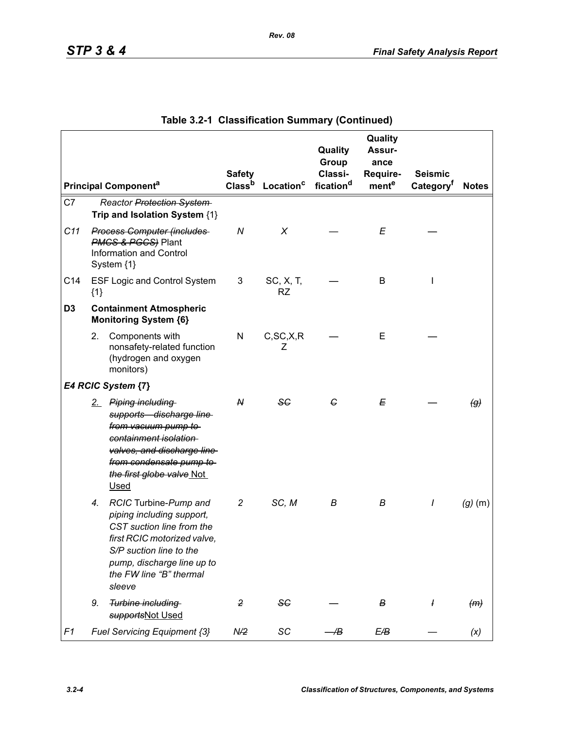|                |       |                                                                                                                                                                                                              | <b>Safety</b>      |                        | Quality<br>Group<br>Classi- | Quality<br>Assur-<br>ance<br>Require- | <b>Seismic</b>        |                            |
|----------------|-------|--------------------------------------------------------------------------------------------------------------------------------------------------------------------------------------------------------------|--------------------|------------------------|-----------------------------|---------------------------------------|-----------------------|----------------------------|
|                |       | <b>Principal Componenta</b>                                                                                                                                                                                  | Class <sup>b</sup> | Location <sup>c</sup>  | fication <sup>d</sup>       | mente                                 | Category <sup>f</sup> | <b>Notes</b>               |
| C7             |       | Reactor Protection System<br>Trip and Isolation System {1}                                                                                                                                                   |                    |                        |                             |                                       |                       |                            |
| C11            |       | <b>Process Computer (includes</b><br><b>PMCS &amp; PGCS</b> ) Plant<br><b>Information and Control</b><br>System {1}                                                                                          | ${\cal N}$         | X                      |                             | E                                     |                       |                            |
| C14            | ${1}$ | <b>ESF Logic and Control System</b>                                                                                                                                                                          | 3                  | SC, X, T,<br><b>RZ</b> |                             | В                                     | I                     |                            |
| D <sub>3</sub> |       | <b>Containment Atmospheric</b><br><b>Monitoring System {6}</b>                                                                                                                                               |                    |                        |                             |                                       |                       |                            |
|                | 2.    | Components with<br>nonsafety-related function<br>(hydrogen and oxygen<br>monitors)                                                                                                                           | N                  | C, SC, X, R<br>Z       |                             | E                                     |                       |                            |
|                |       | E4 RCIC System {7}                                                                                                                                                                                           |                    |                        |                             |                                       |                       |                            |
|                |       | 2. Piping including<br>supports discharge line<br>from vacuum pump to<br>containment isolation<br>valves, and discharge line<br>from condensate pump to<br>the first globe valve Not<br><b>Used</b>          | ${\mathsf N}$      | SG                     | G                           | Е                                     |                       | $\left(\mathcal{G}\right)$ |
|                | 4.    | RCIC Turbine-Pump and<br>piping including support,<br>CST suction line from the<br>first RCIC motorized valve,<br>S/P suction line to the<br>pump, discharge line up to<br>the FW line "B" thermal<br>sleeve | 2                  | SC, M                  | В                           | В                                     | I                     | $(g)$ (m)                  |
|                | 9.    | Turbine including<br>supportsNot Used                                                                                                                                                                        | $\overline{2}$     | SC                     |                             | В                                     | $\overline{1}$        | (m)                        |
| F1             |       | Fuel Servicing Equipment {3}                                                                                                                                                                                 | N/2                | SC                     | Æ                           | E/B                                   |                       | (x)                        |

|  | Table 3.2-1 Classification Summary (Continued) |  |  |  |
|--|------------------------------------------------|--|--|--|
|--|------------------------------------------------|--|--|--|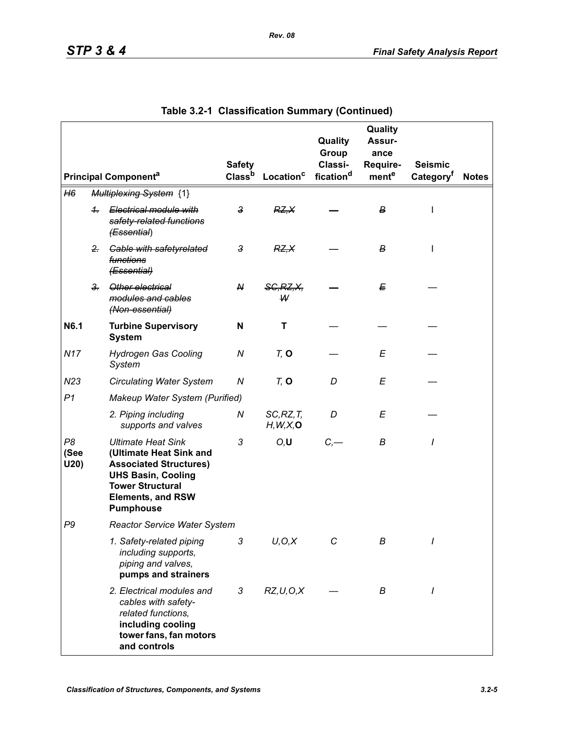|                    |                |                                                                                                                                                                                               | <b>Safety</b>      |                         | Quality<br>Group<br>Classi- | Quality<br><b>Assur-</b><br>ance<br>Require- | <b>Seismic</b>        |              |
|--------------------|----------------|-----------------------------------------------------------------------------------------------------------------------------------------------------------------------------------------------|--------------------|-------------------------|-----------------------------|----------------------------------------------|-----------------------|--------------|
|                    |                | <b>Principal Component<sup>a</sup></b>                                                                                                                                                        | Class <sup>b</sup> | Location <sup>c</sup>   | fication <sup>d</sup>       | mente                                        | Category <sup>t</sup> | <b>Notes</b> |
| H6                 |                | <b>Multiplexing System {1}</b>                                                                                                                                                                |                    |                         |                             |                                              |                       |              |
|                    | $+$            | Electrical module with<br>safety-related functions<br>(Essential)                                                                                                                             | $\mathbf{3}$       | RZ, X                   |                             | $\boldsymbol{B}$                             | I                     |              |
|                    | $2 -$          | <b>Gable with safetyrelated</b><br>functions<br>(Essential)                                                                                                                                   | $\mathbf{3}$       | RZ, X                   |                             | в                                            |                       |              |
|                    | 3 <sub>r</sub> | Other electrical<br>modules and cables<br>(Non-essential)                                                                                                                                     | N                  | <b>SG, RZ, X,</b><br>W  |                             | E                                            |                       |              |
| N6.1               |                | <b>Turbine Supervisory</b><br><b>System</b>                                                                                                                                                   | N                  | т                       |                             |                                              |                       |              |
| <b>N17</b>         |                | <b>Hydrogen Gas Cooling</b><br>System                                                                                                                                                         | N                  | $Tz$ O                  |                             | Е                                            |                       |              |
| N23                |                | <b>Circulating Water System</b>                                                                                                                                                               | Ν                  | $Tz$ O                  | D                           | E                                            |                       |              |
| P <sub>1</sub>     |                | Makeup Water System (Purified)                                                                                                                                                                |                    |                         |                             |                                              |                       |              |
|                    |                | 2. Piping including<br>supports and valves                                                                                                                                                    | Ν                  | SC, RZ, T<br>H, W, X, O | D                           | Е                                            |                       |              |
| P8<br>(See<br>U20) |                | <b>Ultimate Heat Sink</b><br>(Ultimate Heat Sink and<br><b>Associated Structures)</b><br><b>UHS Basin, Cooling</b><br><b>Tower Structural</b><br><b>Elements, and RSW</b><br><b>Pumphouse</b> | 3                  | O, U                    | C,                          | B                                            | I                     |              |
| P9                 |                | <b>Reactor Service Water System</b>                                                                                                                                                           |                    |                         |                             |                                              |                       |              |
|                    |                | 1. Safety-related piping<br>including supports,<br>piping and valves,<br>pumps and strainers                                                                                                  | 3                  | U, O, X                 | С                           | В                                            |                       |              |
|                    |                | 2. Electrical modules and<br>cables with safety-<br>related functions.<br>including cooling<br>tower fans, fan motors<br>and controls                                                         | 3                  | RZ, U, O, X             |                             | В                                            | I                     |              |

| Table 3.2-1 Classification Summary (Continued) |  |
|------------------------------------------------|--|
|                                                |  |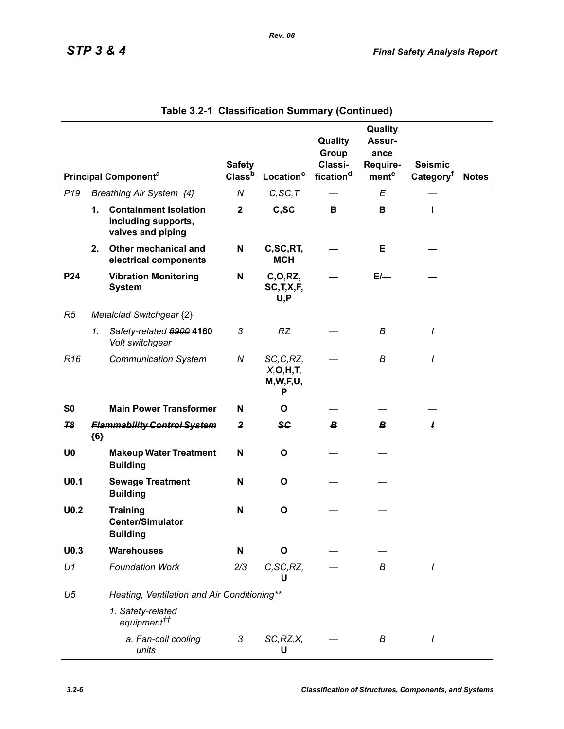|                  |               |                                                                          |                                     |                                           | Quality<br>Group                 | Quality<br>Assur-<br>ance |                                         |              |
|------------------|---------------|--------------------------------------------------------------------------|-------------------------------------|-------------------------------------------|----------------------------------|---------------------------|-----------------------------------------|--------------|
|                  |               | <b>Principal Componenta</b>                                              | <b>Safety</b><br>Class <sup>b</sup> | Location <sup>c</sup>                     | Classi-<br>fication <sup>d</sup> | Require-<br>mente         | <b>Seismic</b><br>Category <sup>†</sup> | <b>Notes</b> |
| P <sub>19</sub>  |               | Breathing Air System {4}                                                 | N                                   | G, SG, T                                  |                                  | Е                         |                                         |              |
|                  | $\mathbf 1$ . | <b>Containment Isolation</b><br>including supports,<br>valves and piping | $\mathbf 2$                         | C,SC                                      | B                                | B                         | п                                       |              |
|                  | 2.            | Other mechanical and<br>electrical components                            | N                                   | C,SC,RT,<br><b>MCH</b>                    |                                  | Е                         |                                         |              |
| P24              |               | <b>Vibration Monitoring</b><br><b>System</b>                             | N                                   | C, O, RZ,<br>SC, T, X, F,<br>U, P         |                                  | $E/-$                     |                                         |              |
| R <sub>5</sub>   |               | Metalclad Switchgear {2}                                                 |                                     |                                           |                                  |                           |                                         |              |
|                  | 1.            | Safety-related 6900 4160<br>Volt switchgear                              | 3                                   | <b>RZ</b>                                 |                                  | B                         | $\prime$                                |              |
| R <sub>16</sub>  |               | <b>Communication System</b>                                              | N                                   | SC, C, RZ,<br>X, O, H, T<br>M,W,F,U,<br>Р |                                  | В                         | $\prime$                                |              |
| S <sub>0</sub>   |               | <b>Main Power Transformer</b>                                            | N                                   | O                                         |                                  |                           |                                         |              |
| 78               | ${6}$         | <b>Flammability Control System</b>                                       | $\mathbf{2}$                        | <b>SG</b>                                 | В                                | B                         | ł                                       |              |
| U <sub>0</sub>   |               | <b>Makeup Water Treatment</b><br><b>Building</b>                         | N                                   | O                                         |                                  |                           |                                         |              |
| U <sub>0.1</sub> |               | <b>Sewage Treatment</b><br><b>Building</b>                               | N                                   | O                                         |                                  |                           |                                         |              |
| U <sub>0.2</sub> |               | <b>Training</b><br><b>Center/Simulator</b><br><b>Building</b>            | N                                   | $\mathbf{o}$                              |                                  |                           |                                         |              |
| U <sub>0.3</sub> |               | <b>Warehouses</b>                                                        | N                                   | O                                         |                                  |                           |                                         |              |
| U1               |               | <b>Foundation Work</b>                                                   | 2/3                                 | C, SC, RZ,<br>U                           |                                  | В                         | I                                       |              |
| U <sub>5</sub>   |               | Heating, Ventilation and Air Conditioning**                              |                                     |                                           |                                  |                           |                                         |              |
|                  |               | 1. Safety-related<br>equipment <sup>††</sup>                             |                                     |                                           |                                  |                           |                                         |              |
|                  |               | a. Fan-coil cooling<br>units                                             | 3                                   | SC, RZ, X,<br>U                           |                                  | В                         | $\prime$                                |              |

| Table 3.2-1 Classification Summary (Continued) |  |
|------------------------------------------------|--|
|                                                |  |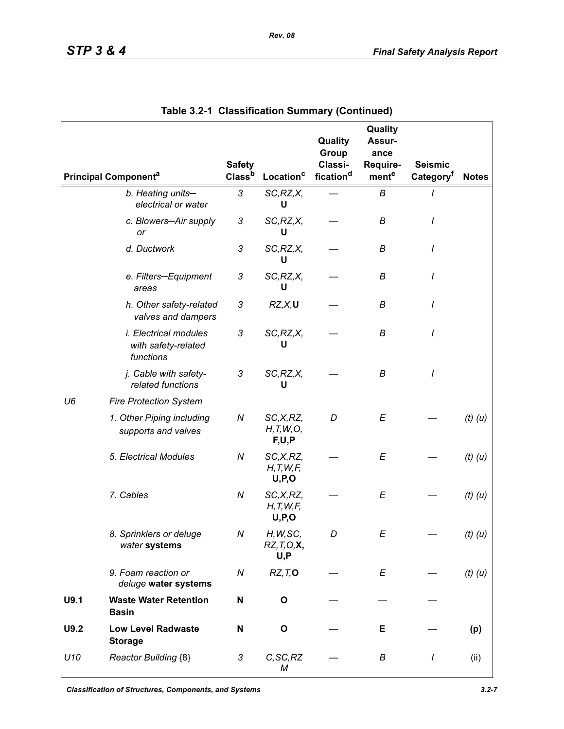|                |                                                                  | <b>Safety</b>      |                                      | Quality<br>Group<br>Classi- | Quality<br>Assur-<br>ance<br>Require- | <b>Seismic</b>        |              |
|----------------|------------------------------------------------------------------|--------------------|--------------------------------------|-----------------------------|---------------------------------------|-----------------------|--------------|
|                | <b>Principal Component<sup>a</sup></b>                           | Class <sup>b</sup> | Location <sup>c</sup>                | fication <sup>d</sup>       | mente                                 | Category <sup>t</sup> | <b>Notes</b> |
|                | b. Heating units-<br>electrical or water                         | 3                  | SC, RZ, X,<br>U                      |                             | B                                     |                       |              |
|                | c. Blowers-Air supply<br>or                                      | 3                  | SC, RZ, X,<br>U                      |                             | В                                     | I                     |              |
|                | d. Ductwork                                                      | 3                  | SC, RZ, X,<br>U                      |                             | В                                     |                       |              |
|                | e. Filters-Equipment<br>areas                                    | 3                  | SC, RZ, X,<br>U                      |                             | В                                     |                       |              |
|                | h. Other safety-related<br>valves and dampers                    | 3                  | RZ, X, U                             |                             | В                                     |                       |              |
|                | <i>i. Electrical modules</i><br>with safety-related<br>functions | 3                  | SC, RZ, X,<br>U                      |                             | B                                     | I                     |              |
|                | j. Cable with safety-<br>related functions                       | 3                  | SC, RZ, X,<br>U                      |                             | B                                     | I                     |              |
| U <sub>6</sub> | <b>Fire Protection System</b>                                    |                    |                                      |                             |                                       |                       |              |
|                | 1. Other Piping including<br>supports and valves                 | N                  | SC,X,RZ,<br>H, T, W, O,<br>F,U,P     | D                           | E                                     |                       | $(t)$ $(u)$  |
|                | 5. Electrical Modules                                            | N                  | SC,X,RZ,<br>H, T, W, F,<br>U, P, O   |                             | E                                     |                       | $(t)$ $(u)$  |
|                | 7. Cables                                                        | N                  | SC,X,RZ,<br>H, T, W, F,<br>U, P, O   |                             | E                                     |                       | $(t)$ $(u)$  |
|                | 8. Sprinklers or deluge<br>water systems                         | Ν                  | H, W, SC,<br>$RZ, T, O, X$ ,<br>U, P | D                           | E                                     |                       | $(t)$ $(u)$  |
|                | 9. Foam reaction or<br>deluge water systems                      | N                  | RZ, T, O                             |                             | E                                     |                       | $(t)$ $(u)$  |
| U9.1           | <b>Waste Water Retention</b><br><b>Basin</b>                     | N                  | $\mathbf{o}$                         |                             |                                       |                       |              |
| U9.2           | <b>Low Level Radwaste</b><br><b>Storage</b>                      | N                  | $\mathbf{o}$                         |                             | Е                                     |                       | (p)          |
| U10            | Reactor Building {8}                                             | 3                  | C, SC, RZ<br>М                       |                             | В                                     | I                     | (ii)         |

|  | Table 3.2-1 Classification Summary (Continued) |  |  |
|--|------------------------------------------------|--|--|
|--|------------------------------------------------|--|--|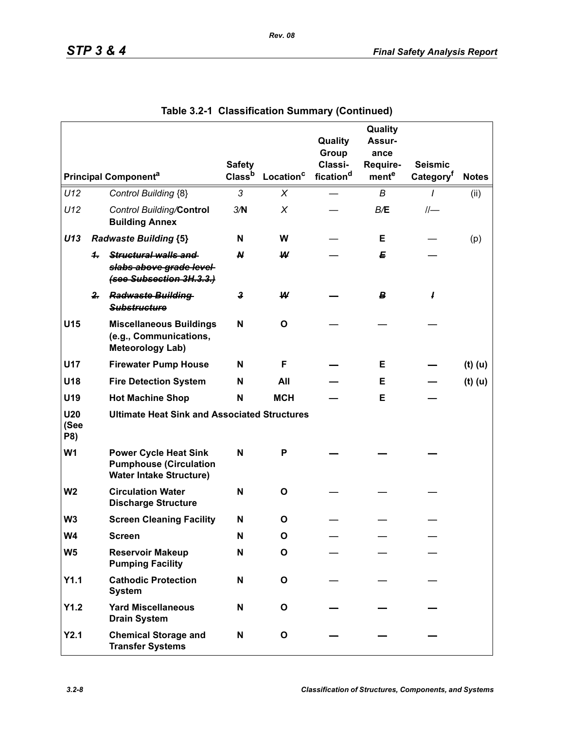|                                        |              |                                                                                                 | <b>Safety</b>      |                       | Quality<br>Group<br>Classi- | Quality<br>Assur-<br>ance<br>Require- | <b>Seismic</b>        |              |
|----------------------------------------|--------------|-------------------------------------------------------------------------------------------------|--------------------|-----------------------|-----------------------------|---------------------------------------|-----------------------|--------------|
| <b>Principal Component<sup>a</sup></b> |              |                                                                                                 | Class <sup>b</sup> | Location <sup>c</sup> | fication <sup>d</sup>       | mente                                 | Category <sup>t</sup> | <b>Notes</b> |
| U12                                    |              | Control Building {8}                                                                            | 3                  | X                     |                             | B                                     | I                     | (ii)         |
| U12                                    |              | <b>Control Building/Control</b><br><b>Building Annex</b>                                        | 3/N                | X                     |                             | B/E                                   | $II-$                 |              |
| U13                                    |              | <b>Radwaste Building {5}</b>                                                                    | N                  | W                     |                             | Е                                     |                       | (p)          |
|                                        | 4.           | Structural walls and<br>slabs above grade level<br>(see Subsection 3H.3.3.)                     | N                  | W                     |                             | Е                                     |                       |              |
|                                        | $\mathbf{r}$ | <b>Radwaste Building</b><br><b>Substructure</b>                                                 | 3                  | W                     |                             | B                                     | I                     |              |
| U15                                    |              | <b>Miscellaneous Buildings</b><br>(e.g., Communications,<br><b>Meteorology Lab)</b>             | N                  | O                     |                             |                                       |                       |              |
| <b>U17</b>                             |              | <b>Firewater Pump House</b>                                                                     | N                  | F                     |                             | Е                                     |                       | $(t)$ (u)    |
| U18                                    |              | <b>Fire Detection System</b>                                                                    | N                  | All                   |                             | Е                                     |                       | $(t)$ (u)    |
| U19                                    |              | <b>Hot Machine Shop</b>                                                                         | N                  | <b>MCH</b>            |                             | Е                                     |                       |              |
| U <sub>20</sub><br>(See<br>P8)         |              | <b>Ultimate Heat Sink and Associated Structures</b>                                             |                    |                       |                             |                                       |                       |              |
| W <sub>1</sub>                         |              | <b>Power Cycle Heat Sink</b><br><b>Pumphouse (Circulation</b><br><b>Water Intake Structure)</b> | N                  | P                     |                             |                                       |                       |              |
| W <sub>2</sub>                         |              | <b>Circulation Water</b><br><b>Discharge Structure</b>                                          | N                  | O                     |                             |                                       |                       |              |
| W <sub>3</sub>                         |              | <b>Screen Cleaning Facility</b>                                                                 | N                  | O                     |                             |                                       |                       |              |
| W4                                     |              | <b>Screen</b>                                                                                   | N                  | O                     |                             |                                       |                       |              |
| W <sub>5</sub>                         |              | <b>Reservoir Makeup</b><br><b>Pumping Facility</b>                                              | N                  | O                     |                             |                                       |                       |              |
| Y1.1                                   |              | <b>Cathodic Protection</b><br><b>System</b>                                                     | N                  | O                     |                             |                                       |                       |              |
| Y1.2                                   |              | <b>Yard Miscellaneous</b><br><b>Drain System</b>                                                | N                  | O                     |                             |                                       |                       |              |
| Y2.1                                   |              | <b>Chemical Storage and</b><br><b>Transfer Systems</b>                                          | N                  | O                     |                             |                                       |                       |              |

**Table 3.2-1 Classification Summary (Continued)**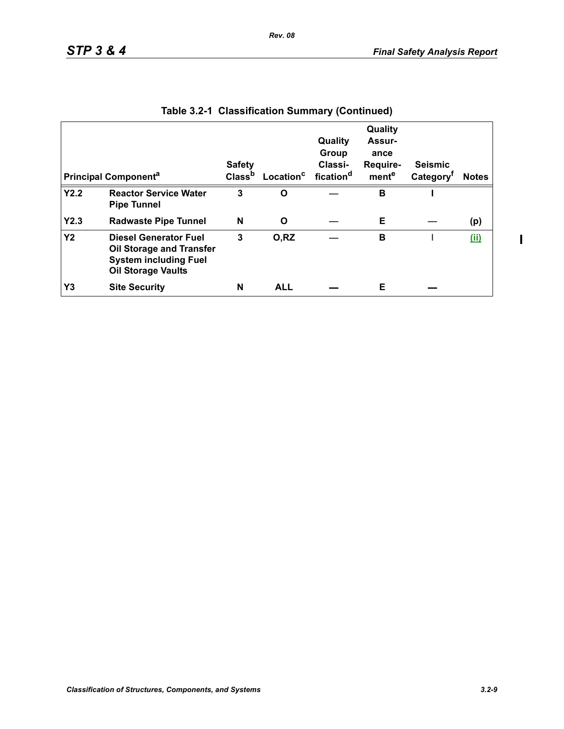| <b>Principal Component<sup>a</sup></b> |                                                                                                                              | <b>Safety</b><br>Class <sup>b</sup> | Location <sup>c</sup> | Quality<br>Group<br>Classi-<br>fication <sup>d</sup> | Quality<br>Assur-<br>ance<br>Require-<br>mente | <b>Seismic</b><br>Category <sup>t</sup> | <b>Notes</b> |
|----------------------------------------|------------------------------------------------------------------------------------------------------------------------------|-------------------------------------|-----------------------|------------------------------------------------------|------------------------------------------------|-----------------------------------------|--------------|
| Y2.2                                   | <b>Reactor Service Water</b><br><b>Pipe Tunnel</b>                                                                           | 3                                   | Ω                     |                                                      | в                                              |                                         |              |
| Y2.3                                   | <b>Radwaste Pipe Tunnel</b>                                                                                                  | N                                   | O                     |                                                      | Е                                              |                                         | (p)          |
| <b>Y2</b>                              | <b>Diesel Generator Fuel</b><br><b>Oil Storage and Transfer</b><br><b>System including Fuel</b><br><b>Oil Storage Vaults</b> | 3                                   | O,RZ                  |                                                      | в                                              |                                         | (ii)         |
| Y3                                     | <b>Site Security</b>                                                                                                         | N                                   | <b>ALL</b>            |                                                      | Е                                              |                                         |              |

|  | Table 3.2-1 Classification Summary (Continued) |  |  |
|--|------------------------------------------------|--|--|
|--|------------------------------------------------|--|--|

*Rev. 08*

 $\blacksquare$